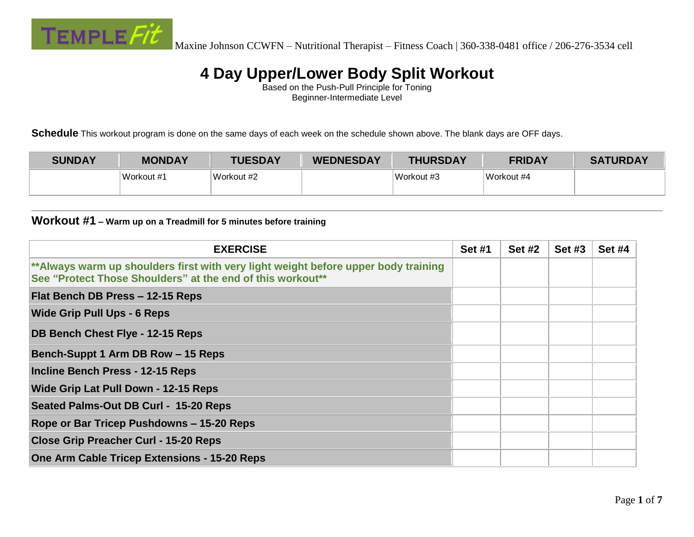

Based on the Push-Pull Principle for Toning Beginner-Intermediate Level

**Schedule** This workout program is done on the same days of each week on the schedule shown above. The blank days are OFF days.

| <b>SUNDAY</b> | <b>MONDAY</b> | <b>TUESDAY</b> | <b>WEDNESDAY</b> | <b>THURSDAY</b> | <b>FRIDAY</b> | <b>SATURDAY</b> |
|---------------|---------------|----------------|------------------|-----------------|---------------|-----------------|
|               | Workout #1    | Workout #2     |                  | Workout #3      | Workout #4    |                 |

#### **Workout #1 – Warm up on a Treadmill for 5 minutes before training**

| <b>EXERCISE</b>                                                                                                                                  | <b>Set #1</b> | <b>Set #2</b> | <b>Set #3</b> | <b>Set #4</b> |
|--------------------------------------------------------------------------------------------------------------------------------------------------|---------------|---------------|---------------|---------------|
| **Always warm up shoulders first with very light weight before upper body training<br>See "Protect Those Shoulders" at the end of this workout** |               |               |               |               |
| Flat Bench DB Press - 12-15 Reps                                                                                                                 |               |               |               |               |
| <b>Wide Grip Pull Ups - 6 Reps</b>                                                                                                               |               |               |               |               |
| DB Bench Chest Flye - 12-15 Reps                                                                                                                 |               |               |               |               |
| Bench-Suppt 1 Arm DB Row - 15 Reps                                                                                                               |               |               |               |               |
| Incline Bench Press - 12-15 Reps                                                                                                                 |               |               |               |               |
| Wide Grip Lat Pull Down - 12-15 Reps                                                                                                             |               |               |               |               |
| Seated Palms-Out DB Curl - 15-20 Reps                                                                                                            |               |               |               |               |
| Rope or Bar Tricep Pushdowns - 15-20 Reps                                                                                                        |               |               |               |               |
| <b>Close Grip Preacher Curl - 15-20 Reps</b>                                                                                                     |               |               |               |               |
| One Arm Cable Tricep Extensions - 15-20 Reps                                                                                                     |               |               |               |               |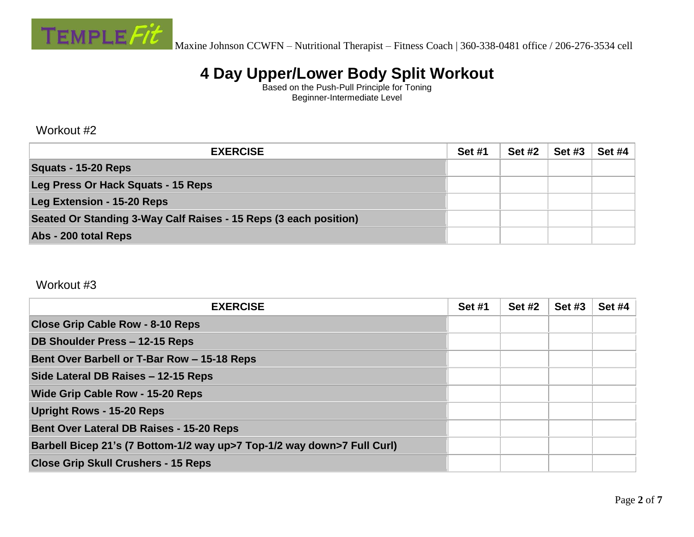

Based on the Push-Pull Principle for Toning Beginner-Intermediate Level

#### Workout #2

| <b>EXERCISE</b>                                                  | <b>Set #1</b> | <b>Set #2</b> | <b>Set #3</b> | <b>Set #4</b> |
|------------------------------------------------------------------|---------------|---------------|---------------|---------------|
| Squats - 15-20 Reps                                              |               |               |               |               |
| Leg Press Or Hack Squats - 15 Reps                               |               |               |               |               |
| <b>Leg Extension - 15-20 Reps</b>                                |               |               |               |               |
| Seated Or Standing 3-Way Calf Raises - 15 Reps (3 each position) |               |               |               |               |
| Abs - 200 total Reps                                             |               |               |               |               |

#### Workout #3

| <b>EXERCISE</b>                                                         | <b>Set #1</b> | <b>Set #2</b> | <b>Set #3</b> | <b>Set #4</b> |
|-------------------------------------------------------------------------|---------------|---------------|---------------|---------------|
| <b>Close Grip Cable Row - 8-10 Reps</b>                                 |               |               |               |               |
| DB Shoulder Press - 12-15 Reps                                          |               |               |               |               |
| Bent Over Barbell or T-Bar Row - 15-18 Reps                             |               |               |               |               |
| Side Lateral DB Raises - 12-15 Reps                                     |               |               |               |               |
| <b>Wide Grip Cable Row - 15-20 Reps</b>                                 |               |               |               |               |
| <b>Upright Rows - 15-20 Reps</b>                                        |               |               |               |               |
| <b>Bent Over Lateral DB Raises - 15-20 Reps</b>                         |               |               |               |               |
| Barbell Bicep 21's (7 Bottom-1/2 way up>7 Top-1/2 way down>7 Full Curl) |               |               |               |               |
| <b>Close Grip Skull Crushers - 15 Reps</b>                              |               |               |               |               |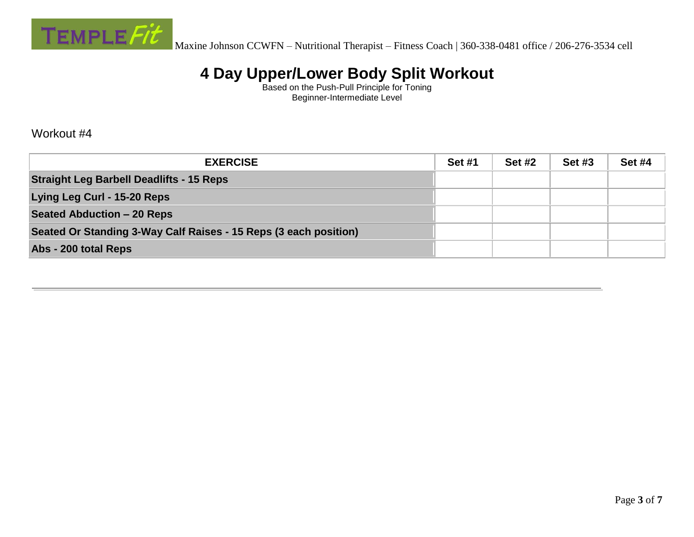

Based on the Push-Pull Principle for Toning Beginner-Intermediate Level

Workout #4

| <b>EXERCISE</b>                                                  | <b>Set #1</b> | <b>Set #2</b> | <b>Set #3</b> | <b>Set #4</b> |
|------------------------------------------------------------------|---------------|---------------|---------------|---------------|
| <b>Straight Leg Barbell Deadlifts - 15 Reps</b>                  |               |               |               |               |
| Lying Leg Curl - 15-20 Reps                                      |               |               |               |               |
| Seated Abduction – 20 Reps                                       |               |               |               |               |
| Seated Or Standing 3-Way Calf Raises - 15 Reps (3 each position) |               |               |               |               |
| Abs - 200 total Reps                                             |               |               |               |               |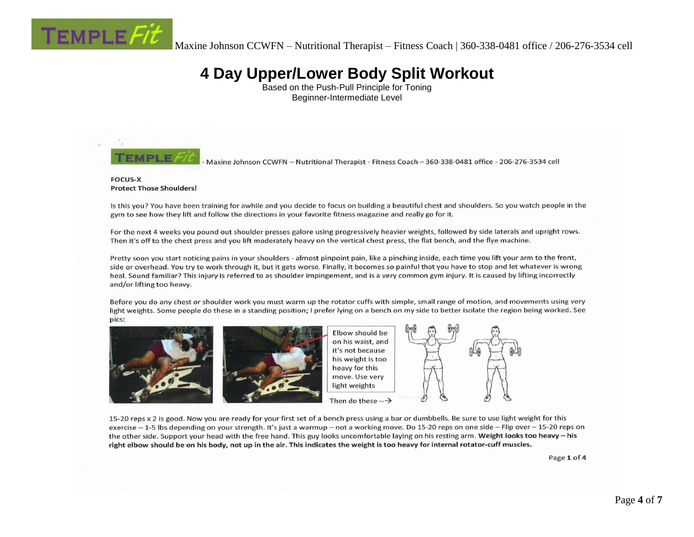

Based on the Push-Pull Principle for Toning Beginner-Intermediate Level



Maxine Johnson CCWFN - Nutritional Therapist - Fitness Coach - 360-338-0481 office - 206-276-3534 cell

#### **FOCUS-X Protect Those Shoulders!**

Is this you? You have been training for awhile and you decide to focus on building a beautiful chest and shoulders. So you watch people in the gym to see how they lift and follow the directions in your favorite fitness magazine and really go for it.

For the next 4 weeks you pound out shoulder presses galore using progressively heavier weights, followed by side laterals and upright rows. Then it's off to the chest press and you lift moderately heavy on the vertical chest press, the flat bench, and the flye machine.

Pretty soon you start noticing pains in your shoulders - almost pinpoint pain, like a pinching inside, each time you lift your arm to the front, side or overhead. You try to work through it, but it gets worse. Finally, it becomes so painful that you have to stop and let whatever is wrong heal. Sound familiar? This injury is referred to as shoulder impingement, and is a very common gym injury. It is caused by lifting incorrectly and/or lifting too heavy.

Before you do any chest or shoulder work you must warm up the rotator cuffs with simple, small range of motion, and movements using very light weights. Some people do these in a standing position; I prefer lying on a bench on my side to better isolate the region being worked. See pics:





Elbow should be on his waist, and it's not because his weight is too heavy for this move. Use very light weights



15-20 reps x 2 is good. Now you are ready for your first set of a bench press using a bar or dumbbells. Be sure to use light weight for this exercise  $-1$ -5 lbs depending on your strength. It's just a warmup – not a working move. Do 15-20 reps on one side – Flip over – 15-20 reps on the other side. Support your head with the free hand. This guy looks uncomfortable laying on his resting arm. Weight looks too heavy - his right elbow should be on his body, not up in the air. This indicates the weight is too heavy for internal rotator-cuff muscles.

Page 1 of 4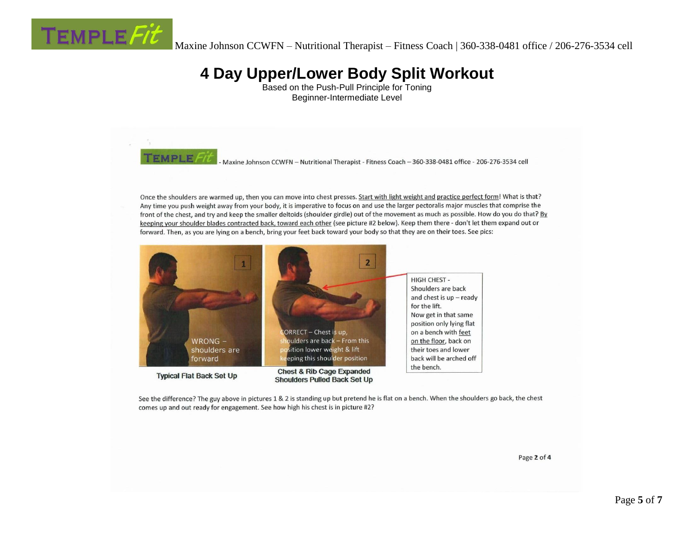

Based on the Push-Pull Principle for Toning Beginner-Intermediate Level



See the difference? The guy above in pictures 1 & 2 is standing up but pretend he is flat on a bench. When the shoulders go back, the chest comes up and out ready for engagement. See how high his chest is in picture #2?

Page 2 of 4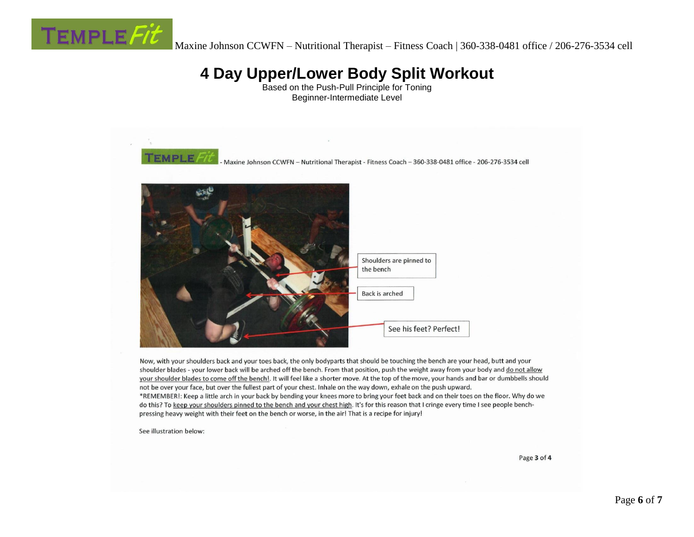

Based on the Push-Pull Principle for Toning Beginner-Intermediate Level



Now, with your shoulders back and your toes back, the only bodyparts that should be touching the bench are your head, butt and your shoulder blades - your lower back will be arched off the bench. From that position, push the weight away from your body and do not allow your shoulder blades to come off the bench!. It will feel like a shorter move. At the top of the move, your hands and bar or dumbbells should not be over your face, but over the fullest part of your chest. Inhale on the way down, exhale on the push upward. \*REMEMBER!: Keep a little arch in your back by bending your knees more to bring your feet back and on their toes on the floor. Why do we do this? To keep your shoulders pinned to the bench and your chest high. It's for this reason that I cringe every time I see people benchpressing heavy weight with their feet on the bench or worse, in the air! That is a recipe for injury!

See illustration below:

Page 3 of 4